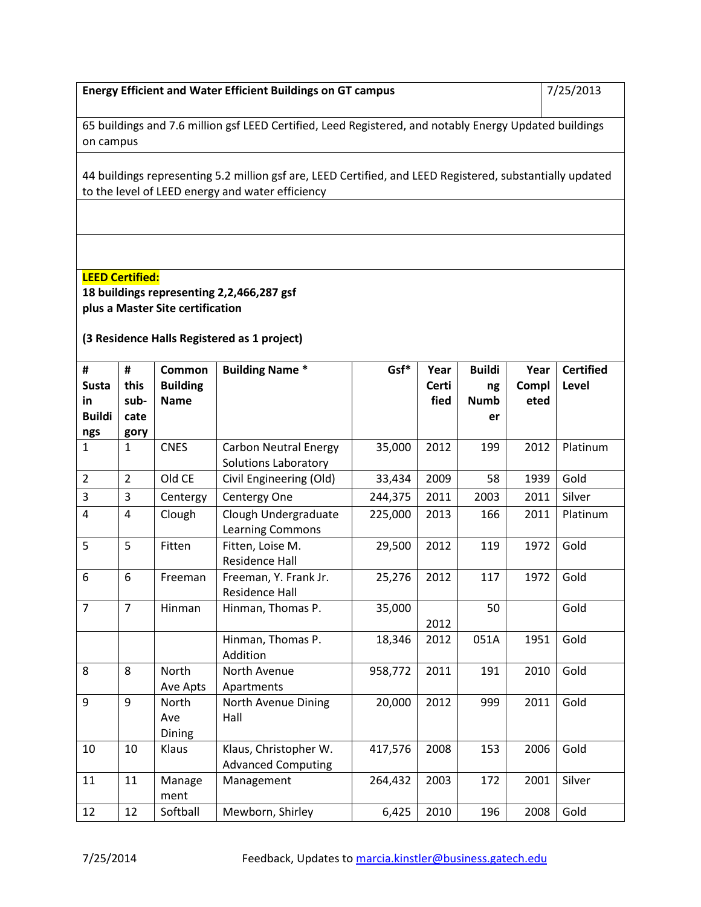| <b>Energy Efficient and Water Efficient Buildings on GT campus</b> | 7/25/2013 |
|--------------------------------------------------------------------|-----------|
|                                                                    |           |

65 buildings and 7.6 million gsf LEED Certified, Leed Registered, and notably Energy Updated buildings on campus

44 buildings representing 5.2 million gsf are, LEED Certified, and LEED Registered, substantially updated to the level of LEED energy and water efficiency

## **LEED Certified:**

**18 buildings representing 2,2,466,287 gsf plus a Master Site certification** 

**(3 Residence Halls Registered as 1 project)**

| #                       | #              | Common          | <b>Building Name *</b>       | Gsf*    | Year  | <b>Buildi</b> | Year  | <b>Certified</b> |
|-------------------------|----------------|-----------------|------------------------------|---------|-------|---------------|-------|------------------|
| <b>Susta</b>            | this           | <b>Building</b> |                              |         | Certi | ng            | Compl | Level            |
| in                      | sub-           | <b>Name</b>     |                              |         | fied  | <b>Numb</b>   | eted  |                  |
| <b>Buildi</b>           | cate           |                 |                              |         |       | er            |       |                  |
| ngs                     | gory           |                 |                              |         |       |               |       |                  |
| $\mathbf{1}$            | $\mathbf{1}$   | <b>CNES</b>     | <b>Carbon Neutral Energy</b> | 35,000  | 2012  | 199           | 2012  | Platinum         |
|                         |                |                 | Solutions Laboratory         |         |       |               |       |                  |
| $\overline{2}$          | $\overline{2}$ | Old CE          | Civil Engineering (Old)      | 33,434  | 2009  | 58            | 1939  | Gold             |
| 3                       | $\overline{3}$ | Centergy        | Centergy One                 | 244,375 | 2011  | 2003          | 2011  | Silver           |
| $\overline{\mathbf{r}}$ | $\overline{4}$ | Clough          | Clough Undergraduate         | 225,000 | 2013  | 166           | 2011  | Platinum         |
|                         |                |                 | <b>Learning Commons</b>      |         |       |               |       |                  |
| 5                       | 5              | Fitten          | Fitten, Loise M.             | 29,500  | 2012  | 119           | 1972  | Gold             |
|                         |                |                 | <b>Residence Hall</b>        |         |       |               |       |                  |
| 6                       | 6              | Freeman         | Freeman, Y. Frank Jr.        | 25,276  | 2012  | 117           | 1972  | Gold             |
|                         |                |                 | <b>Residence Hall</b>        |         |       |               |       |                  |
| $\overline{7}$          | $\overline{7}$ | Hinman          | Hinman, Thomas P.            | 35,000  |       | 50            |       | Gold             |
|                         |                |                 |                              |         | 2012  |               |       |                  |
|                         |                |                 | Hinman, Thomas P.            | 18,346  | 2012  | 051A          | 1951  | Gold             |
|                         |                |                 | Addition                     |         |       |               |       |                  |
| 8                       | 8              | North           | North Avenue                 | 958,772 | 2011  | 191           | 2010  | Gold             |
|                         |                | Ave Apts        | Apartments                   |         |       |               |       |                  |
| 9                       | 9              | North           | North Avenue Dining          | 20,000  | 2012  | 999           | 2011  | Gold             |
|                         |                | Ave             | Hall                         |         |       |               |       |                  |
|                         |                | Dining          |                              |         |       |               |       |                  |
| 10                      | 10             | Klaus           | Klaus, Christopher W.        | 417,576 | 2008  | 153           | 2006  | Gold             |
|                         |                |                 | <b>Advanced Computing</b>    |         |       |               |       |                  |
| 11                      | 11             | Manage          | Management                   | 264,432 | 2003  | 172           | 2001  | Silver           |
|                         |                | ment            |                              |         |       |               |       |                  |
| 12                      | 12             | Softball        | Mewborn, Shirley             | 6,425   | 2010  | 196           | 2008  | Gold             |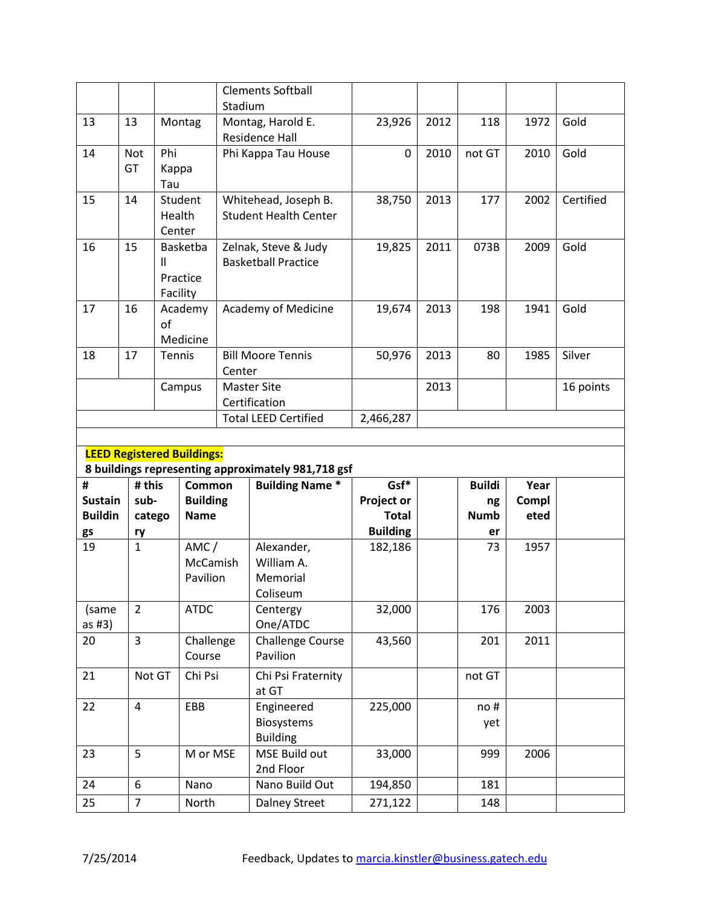|                                  |                    |          |                                   | Stadium       | <b>Clements Softball</b>                           |                                   |      |                   |               |           |
|----------------------------------|--------------------|----------|-----------------------------------|---------------|----------------------------------------------------|-----------------------------------|------|-------------------|---------------|-----------|
| 13                               | 13                 |          | Montag                            |               | Montag, Harold E.                                  | 23,926                            | 2012 | 118               | 1972          | Gold      |
|                                  |                    |          |                                   |               | <b>Residence Hall</b>                              |                                   |      |                   |               |           |
| 14                               | <b>Not</b>         | Phi      |                                   |               | Phi Kappa Tau House                                | 0                                 | 2010 | not GT            | 2010          | Gold      |
|                                  | GT                 | Kappa    |                                   |               |                                                    |                                   |      |                   |               |           |
|                                  |                    | Tau      |                                   |               |                                                    |                                   |      |                   |               |           |
| 15                               | 14                 |          | Student                           |               | Whitehead, Joseph B.                               | 38,750                            | 2013 | 177               | 2002          | Certified |
|                                  |                    | Health   |                                   |               | <b>Student Health Center</b>                       |                                   |      |                   |               |           |
|                                  |                    | Center   |                                   |               |                                                    |                                   |      |                   |               |           |
| 16                               | 15                 |          | Basketba                          |               | Zelnak, Steve & Judy                               | 19,825                            | 2011 | 073B              | 2009          | Gold      |
|                                  |                    | Ш        |                                   |               | <b>Basketball Practice</b>                         |                                   |      |                   |               |           |
|                                  |                    | Facility | Practice                          |               |                                                    |                                   |      |                   |               |           |
| 17                               | 16                 |          | Academy                           |               | Academy of Medicine                                | 19,674                            | 2013 | 198               | 1941          | Gold      |
|                                  |                    | of       |                                   |               |                                                    |                                   |      |                   |               |           |
|                                  |                    |          | Medicine                          |               |                                                    |                                   |      |                   |               |           |
| 18                               | 17                 | Tennis   |                                   |               | <b>Bill Moore Tennis</b>                           | 50,976                            | 2013 | 80                | 1985          | Silver    |
|                                  |                    |          |                                   | Center        |                                                    |                                   |      |                   |               |           |
|                                  |                    |          | Campus                            |               | <b>Master Site</b>                                 |                                   | 2013 |                   |               | 16 points |
|                                  |                    |          |                                   | Certification |                                                    |                                   |      |                   |               |           |
|                                  |                    |          |                                   |               | <b>Total LEED Certified</b>                        | 2,466,287                         |      |                   |               |           |
|                                  |                    |          |                                   |               |                                                    |                                   |      |                   |               |           |
|                                  |                    |          |                                   |               |                                                    |                                   |      |                   |               |           |
|                                  |                    |          | <b>LEED Registered Buildings:</b> |               |                                                    |                                   |      |                   |               |           |
|                                  |                    |          |                                   |               | 8 buildings representing approximately 981,718 gsf |                                   |      |                   |               |           |
| #                                | # this             |          | Common                            |               | <b>Building Name *</b>                             | Gsf*                              |      | <b>Buildi</b>     | Year          |           |
| <b>Sustain</b><br><b>Buildin</b> | sub-               |          | <b>Building</b><br><b>Name</b>    |               |                                                    | <b>Project or</b><br><b>Total</b> |      | ng<br><b>Numb</b> | Compl<br>eted |           |
|                                  | catego             |          |                                   |               |                                                    | <b>Building</b>                   |      | er                |               |           |
| gs<br>19                         | ry<br>$\mathbf{1}$ |          | AMC/                              |               | Alexander,                                         | 182,186                           |      | 73                | 1957          |           |
|                                  |                    |          | McCamish                          |               | William A.                                         |                                   |      |                   |               |           |
|                                  |                    |          | Pavilion                          |               | Memorial                                           |                                   |      |                   |               |           |
|                                  |                    |          |                                   |               | Coliseum                                           |                                   |      |                   |               |           |
| (same                            | $\overline{2}$     |          | <b>ATDC</b>                       |               | Centergy                                           | 32,000                            |      | 176               | 2003          |           |
| as $#3)$                         |                    |          |                                   |               | One/ATDC                                           |                                   |      |                   |               |           |
| 20                               | $\overline{3}$     |          | Challenge                         |               | <b>Challenge Course</b>                            | 43,560                            |      | 201               | 2011          |           |
|                                  |                    |          | Course                            |               | Pavilion                                           |                                   |      |                   |               |           |
| 21                               | Not GT             |          | Chi Psi                           |               | Chi Psi Fraternity                                 |                                   |      | not GT            |               |           |
|                                  |                    |          |                                   |               | at GT                                              |                                   |      |                   |               |           |
| 22                               | 4                  |          | EBB                               |               | Engineered<br>Biosystems                           | 225,000                           |      | no#               |               |           |
|                                  |                    |          |                                   |               | <b>Building</b>                                    |                                   |      | yet               |               |           |
| 23                               | 5                  |          | M or MSE                          |               | MSE Build out                                      | 33,000                            |      | 999               | 2006          |           |
|                                  |                    |          |                                   |               | 2nd Floor                                          |                                   |      |                   |               |           |
| 24                               | 6                  |          | Nano                              |               | Nano Build Out                                     | 194,850                           |      | 181               |               |           |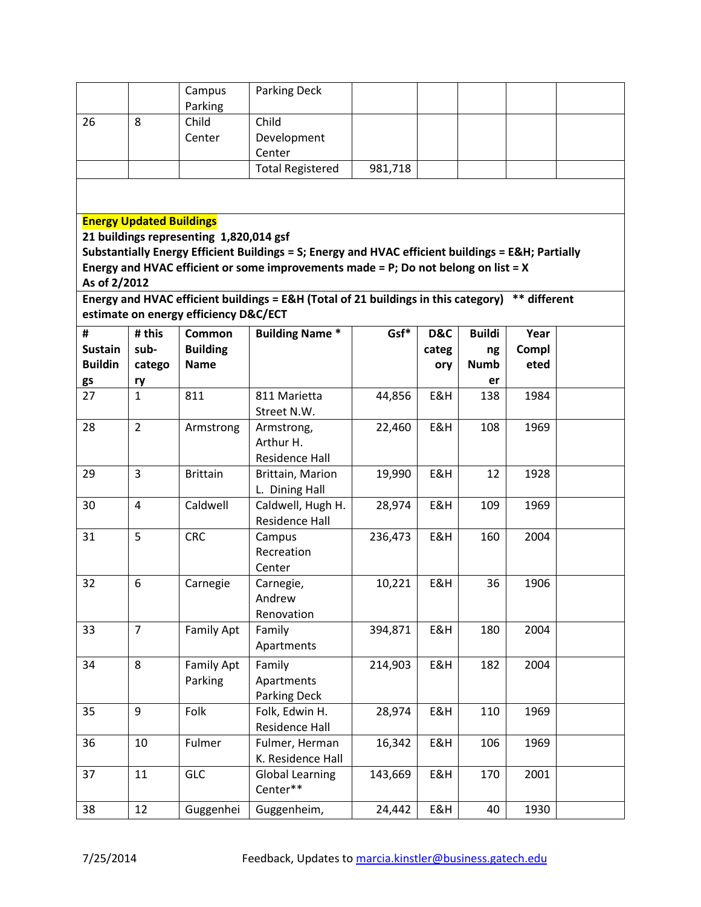|                                 |                | Campus                                  | <b>Parking Deck</b>                                                                               |         |       |               |              |  |  |  |  |
|---------------------------------|----------------|-----------------------------------------|---------------------------------------------------------------------------------------------------|---------|-------|---------------|--------------|--|--|--|--|
| 26                              | 8              | Parking<br>Child                        | Child                                                                                             |         |       |               |              |  |  |  |  |
|                                 |                | Center                                  | Development                                                                                       |         |       |               |              |  |  |  |  |
|                                 |                |                                         | Center                                                                                            |         |       |               |              |  |  |  |  |
|                                 |                |                                         |                                                                                                   |         |       |               |              |  |  |  |  |
|                                 |                |                                         | <b>Total Registered</b>                                                                           | 981,718 |       |               |              |  |  |  |  |
|                                 |                |                                         |                                                                                                   |         |       |               |              |  |  |  |  |
| <b>Energy Updated Buildings</b> |                |                                         |                                                                                                   |         |       |               |              |  |  |  |  |
|                                 |                | 21 buildings representing 1,820,014 gsf |                                                                                                   |         |       |               |              |  |  |  |  |
|                                 |                |                                         | Substantially Energy Efficient Buildings = S; Energy and HVAC efficient buildings = E&H Partially |         |       |               |              |  |  |  |  |
|                                 |                |                                         | Energy and HVAC efficient or some improvements made = P; Do not belong on list = X                |         |       |               |              |  |  |  |  |
| As of 2/2012                    |                |                                         |                                                                                                   |         |       |               |              |  |  |  |  |
|                                 |                | estimate on energy efficiency D&C/ECT   | Energy and HVAC efficient buildings = E&H (Total of 21 buildings in this category)                |         |       |               | ** different |  |  |  |  |
| #                               | # this         | Common                                  | <b>Building Name *</b>                                                                            | Gsf*    | D&C   | <b>Buildi</b> | Year         |  |  |  |  |
| <b>Sustain</b>                  | sub-           | <b>Building</b>                         |                                                                                                   |         | categ | ng            | Compl        |  |  |  |  |
| <b>Buildin</b>                  | catego         | <b>Name</b>                             |                                                                                                   |         | ory   | <b>Numb</b>   | eted         |  |  |  |  |
| gs                              | ry             |                                         |                                                                                                   |         |       | er            |              |  |  |  |  |
| 27                              | $\mathbf{1}$   | 811                                     | 811 Marietta                                                                                      | 44,856  | E&H   | 138           | 1984         |  |  |  |  |
|                                 |                |                                         | Street N.W.                                                                                       |         |       |               |              |  |  |  |  |
| 28                              | $\overline{2}$ | Armstrong                               | Armstrong,                                                                                        | 22,460  | E&H   | 108           | 1969         |  |  |  |  |
|                                 |                |                                         | Arthur H.                                                                                         |         |       |               |              |  |  |  |  |
|                                 |                |                                         | Residence Hall                                                                                    |         |       |               |              |  |  |  |  |
| 29                              | 3              | <b>Brittain</b>                         | Brittain, Marion                                                                                  | 19,990  | E&H   | 12            | 1928         |  |  |  |  |
|                                 |                |                                         | L. Dining Hall                                                                                    |         |       |               |              |  |  |  |  |
| 30                              | 4              | Caldwell                                | Caldwell, Hugh H.                                                                                 | 28,974  | E&H   | 109           | 1969         |  |  |  |  |
|                                 |                |                                         | Residence Hall                                                                                    |         |       |               |              |  |  |  |  |
| 31                              | 5              | <b>CRC</b>                              | Campus                                                                                            | 236,473 | E&H   | 160           | 2004         |  |  |  |  |
|                                 |                |                                         | Recreation                                                                                        |         |       |               |              |  |  |  |  |
|                                 |                |                                         | Center                                                                                            |         |       |               |              |  |  |  |  |
| 32                              | 6              | Carnegie                                | Carnegie,                                                                                         | 10,221  | E&H   | 36            | 1906         |  |  |  |  |
|                                 |                |                                         | Andrew                                                                                            |         |       |               |              |  |  |  |  |
|                                 |                |                                         | Renovation                                                                                        |         |       |               |              |  |  |  |  |
| 33                              | $\overline{7}$ | Family Apt                              | Family                                                                                            | 394,871 | E&H   | 180           | 2004         |  |  |  |  |
|                                 |                |                                         | Apartments                                                                                        |         |       |               |              |  |  |  |  |
| 34                              | 8              | Family Apt                              | Family                                                                                            | 214,903 | E&H   | 182           | 2004         |  |  |  |  |
|                                 |                | Parking                                 | Apartments                                                                                        |         |       |               |              |  |  |  |  |
|                                 |                |                                         | Parking Deck                                                                                      |         |       |               |              |  |  |  |  |
| 35                              | 9              | Folk                                    | Folk, Edwin H.                                                                                    | 28,974  | E&H   | 110           | 1969         |  |  |  |  |
|                                 |                |                                         | <b>Residence Hall</b>                                                                             |         |       |               |              |  |  |  |  |
| 36                              | 10             | Fulmer                                  | Fulmer, Herman                                                                                    | 16,342  | E&H   | 106           | 1969         |  |  |  |  |
|                                 |                |                                         | K. Residence Hall                                                                                 |         |       |               |              |  |  |  |  |
| 37                              | 11             | <b>GLC</b>                              | <b>Global Learning</b>                                                                            | 143,669 | E&H   | 170           | 2001         |  |  |  |  |
|                                 |                |                                         | Center**                                                                                          |         |       |               |              |  |  |  |  |
| 38                              | 12             | Guggenhei                               | Guggenheim,                                                                                       | 24,442  | E&H   | 40            | 1930         |  |  |  |  |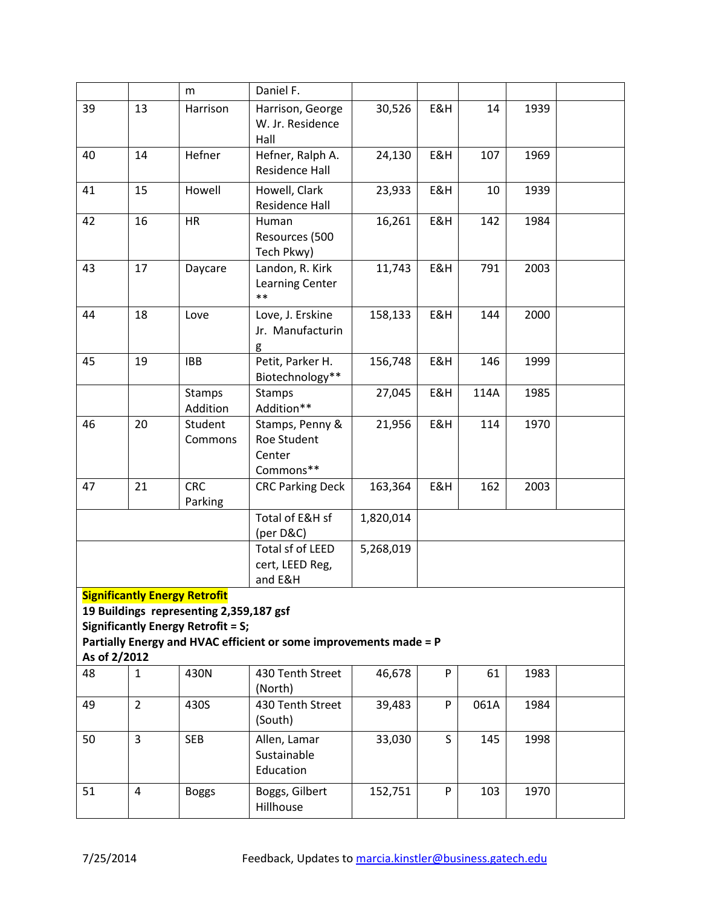|              |                | m                                         | Daniel F.                                                         |           |         |      |      |  |
|--------------|----------------|-------------------------------------------|-------------------------------------------------------------------|-----------|---------|------|------|--|
| 39           | 13             | Harrison                                  | Harrison, George                                                  | 30,526    | E&H     | 14   | 1939 |  |
|              |                |                                           | W. Jr. Residence                                                  |           |         |      |      |  |
|              |                |                                           | Hall                                                              |           |         |      |      |  |
| 40           | 14             | Hefner                                    | Hefner, Ralph A.                                                  | 24,130    | E&H     | 107  | 1969 |  |
|              |                |                                           | <b>Residence Hall</b>                                             |           |         |      |      |  |
| 41           | 15             | Howell                                    | Howell, Clark                                                     | 23,933    | E&H     | 10   | 1939 |  |
|              |                |                                           | <b>Residence Hall</b>                                             |           |         |      |      |  |
| 42           | 16             | <b>HR</b>                                 | Human                                                             | 16,261    | E&H     | 142  | 1984 |  |
|              |                |                                           | Resources (500                                                    |           |         |      |      |  |
|              |                |                                           | Tech Pkwy)                                                        |           |         |      |      |  |
| 43           | 17             | Daycare                                   | Landon, R. Kirk                                                   | 11,743    | E&H     | 791  | 2003 |  |
|              |                |                                           | <b>Learning Center</b>                                            |           |         |      |      |  |
|              |                |                                           | $**$                                                              |           |         |      |      |  |
| 44           | 18             | Love                                      | Love, J. Erskine                                                  | 158,133   | E&H     | 144  | 2000 |  |
|              |                |                                           | Jr. Manufacturin                                                  |           |         |      |      |  |
|              |                |                                           | g                                                                 |           |         |      |      |  |
| 45           | 19             | <b>IBB</b>                                | Petit, Parker H.                                                  | 156,748   | E&H     | 146  | 1999 |  |
|              |                |                                           | Biotechnology**                                                   |           |         |      |      |  |
|              |                | <b>Stamps</b>                             | Stamps<br>Addition**                                              | 27,045    | E&H     | 114A | 1985 |  |
| 46           | 20             | Addition                                  |                                                                   |           |         |      |      |  |
|              |                | Student<br>Commons                        | Stamps, Penny &<br>Roe Student                                    | 21,956    | E&H     | 114  | 1970 |  |
|              |                |                                           | Center                                                            |           |         |      |      |  |
|              |                |                                           | Commons**                                                         |           |         |      |      |  |
| 47           | 21             | <b>CRC</b>                                | <b>CRC Parking Deck</b>                                           | 163,364   | E&H     | 162  | 2003 |  |
|              |                | Parking                                   |                                                                   |           |         |      |      |  |
|              |                |                                           | Total of E&H sf                                                   | 1,820,014 |         |      |      |  |
|              |                |                                           | (per D&C)                                                         |           |         |      |      |  |
|              |                |                                           | Total sf of LEED                                                  | 5,268,019 |         |      |      |  |
|              |                |                                           | cert, LEED Reg,                                                   |           |         |      |      |  |
|              |                |                                           | and E&H                                                           |           |         |      |      |  |
|              |                | <b>Significantly Energy Retrofit</b>      |                                                                   |           |         |      |      |  |
|              |                | 19 Buildings representing 2,359,187 gsf   |                                                                   |           |         |      |      |  |
|              |                | <b>Significantly Energy Retrofit = S;</b> |                                                                   |           |         |      |      |  |
|              |                |                                           | Partially Energy and HVAC efficient or some improvements made = P |           |         |      |      |  |
| As of 2/2012 |                |                                           |                                                                   |           |         |      |      |  |
| 48           | $\mathbf{1}$   | 430N                                      | 430 Tenth Street                                                  | 46,678    | P       | 61   | 1983 |  |
| 49           | $\overline{2}$ | 430S                                      | (North)<br>430 Tenth Street                                       | 39,483    | P       | 061A | 1984 |  |
|              |                |                                           | (South)                                                           |           |         |      |      |  |
|              |                |                                           |                                                                   |           |         |      |      |  |
| 50           | 3              | <b>SEB</b>                                | Allen, Lamar                                                      | 33,030    | $\sf S$ | 145  | 1998 |  |
|              |                |                                           | Sustainable                                                       |           |         |      |      |  |
|              |                |                                           | Education                                                         |           |         |      |      |  |
| 51           | 4              | <b>Boggs</b>                              | Boggs, Gilbert                                                    | 152,751   | P       | 103  | 1970 |  |
|              |                |                                           | Hillhouse                                                         |           |         |      |      |  |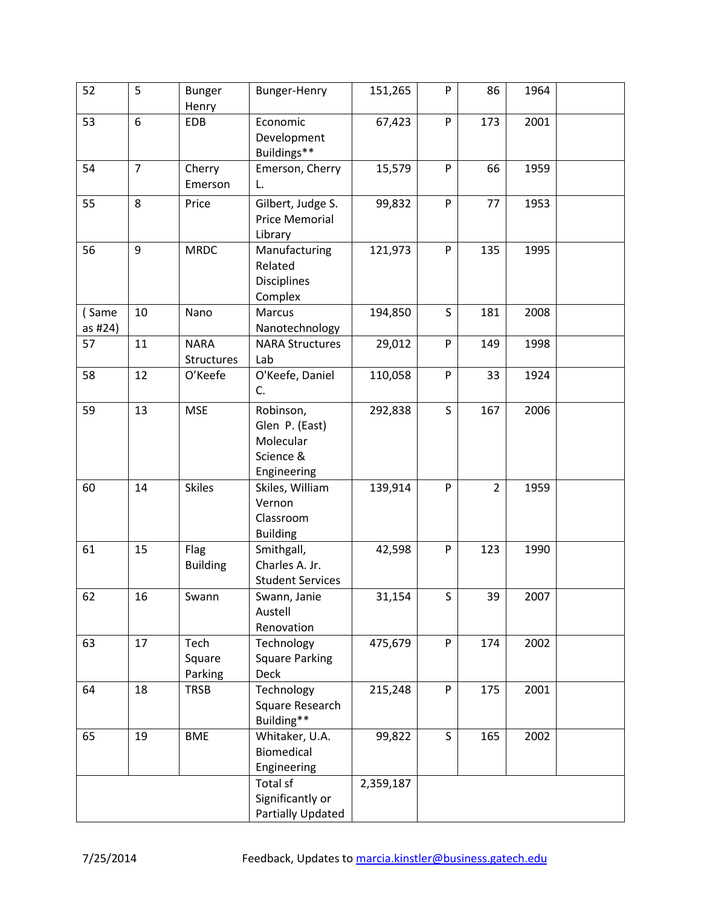| 52               | 5              | <b>Bunger</b><br>Henry           | Bunger-Henry                                                         | 151,265   | P         | 86             | 1964 |  |
|------------------|----------------|----------------------------------|----------------------------------------------------------------------|-----------|-----------|----------------|------|--|
| 53               | 6              | <b>EDB</b>                       | Economic<br>Development<br>Buildings**                               | 67,423    | ${\sf P}$ | 173            | 2001 |  |
| 54               | $\overline{7}$ | Cherry<br>Emerson                | Emerson, Cherry<br>L.                                                | 15,579    | P         | 66             | 1959 |  |
| 55               | 8              | Price                            | Gilbert, Judge S.<br><b>Price Memorial</b><br>Library                | 99,832    | P         | 77             | 1953 |  |
| 56               | 9              | <b>MRDC</b>                      | Manufacturing<br>Related<br><b>Disciplines</b><br>Complex            | 121,973   | ${\sf P}$ | 135            | 1995 |  |
| (Same<br>as #24) | 10             | Nano                             | Marcus<br>Nanotechnology                                             | 194,850   | S         | 181            | 2008 |  |
| 57               | 11             | <b>NARA</b><br><b>Structures</b> | <b>NARA Structures</b><br>Lab                                        | 29,012    | P         | 149            | 1998 |  |
| 58               | 12             | O'Keefe                          | O'Keefe, Daniel<br>C.                                                | 110,058   | ${\sf P}$ | 33             | 1924 |  |
| 59               | 13             | <b>MSE</b>                       | Robinson,<br>Glen P. (East)<br>Molecular<br>Science &<br>Engineering | 292,838   | S         | 167            | 2006 |  |
| 60               | 14             | <b>Skiles</b>                    | Skiles, William<br>Vernon<br>Classroom<br><b>Building</b>            | 139,914   | P         | $\overline{2}$ | 1959 |  |
| 61               | 15             | Flag<br><b>Building</b>          | Smithgall,<br>Charles A. Jr.<br><b>Student Services</b>              | 42,598    | P         | 123            | 1990 |  |
| 62               | 16             | Swann                            | Swann, Janie<br>Austell<br>Renovation                                | 31,154    | S         | 39             | 2007 |  |
| 63               | 17             | Tech<br>Square<br>Parking        | Technology<br><b>Square Parking</b><br><b>Deck</b>                   | 475,679   | ${\sf P}$ | 174            | 2002 |  |
| 64               | 18             | <b>TRSB</b>                      | Technology<br>Square Research<br>Building**                          | 215,248   | P         | 175            | 2001 |  |
| 65               | 19             | <b>BME</b>                       | Whitaker, U.A.<br>Biomedical<br>Engineering                          | 99,822    | S         | 165            | 2002 |  |
|                  |                |                                  | Total sf<br>Significantly or<br>Partially Updated                    | 2,359,187 |           |                |      |  |